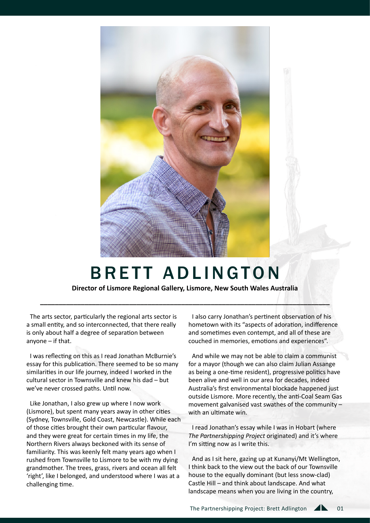

## BRETT ADLINGTON

**Director of Lismore Regional Gallery, Lismore, New South Wales Australia** 

**\_\_\_\_\_\_\_\_\_\_\_\_\_\_\_\_\_\_\_\_\_\_\_\_\_\_\_\_\_\_\_\_\_\_\_\_\_\_\_\_\_\_\_\_\_\_\_\_\_\_\_\_\_\_\_\_\_\_\_\_\_\_\_\_\_\_\_\_\_\_\_\_\_\_\_\_\_\_**

The arts sector, particularly the regional arts sector is a small entity, and so interconnected, that there really is only about half a degree of separation between anyone – if that.

I was reflecting on this as I read Jonathan McBurnie's essay for this publication. There seemed to be so many similarities in our life journey, indeed I worked in the cultural sector in Townsville and knew his dad – but we've never crossed paths. Until now.

Like Jonathan, I also grew up where I now work (Lismore), but spent many years away in other cities (Sydney, Townsville, Gold Coast, Newcastle). While each of those cities brought their own particular flavour, and they were great for certain times in my life, the Northern Rivers always beckoned with its sense of familiarity. This was keenly felt many years ago when I rushed from Townsville to Lismore to be with my dying grandmother. The trees, grass, rivers and ocean all felt 'right', like I belonged, and understood where I was at a challenging time.

I also carry Jonathan's pertinent observation of his hometown with its "aspects of adoration, indifference and sometimes even contempt, and all of these are couched in memories, emotions and experiences".

And while we may not be able to claim a communist for a mayor (though we can also claim Julian Assange as being a one-time resident), progressive politics have been alive and well in our area for decades, indeed Australia's first environmental blockade happened just outside Lismore. More recently, the anti-Coal Seam Gas movement galvanised vast swathes of the community – with an ultimate win.

I read Jonathan's essay while I was in Hobart (where *The Partnershipping Project* originated) and it's where I'm sitting now as I write this.

And as I sit here, gazing up at Kunanyi/Mt Wellington, I think back to the view out the back of our Townsville house to the equally dominant (but less snow-clad) Castle Hill – and think about landscape. And what landscape means when you are living in the country,

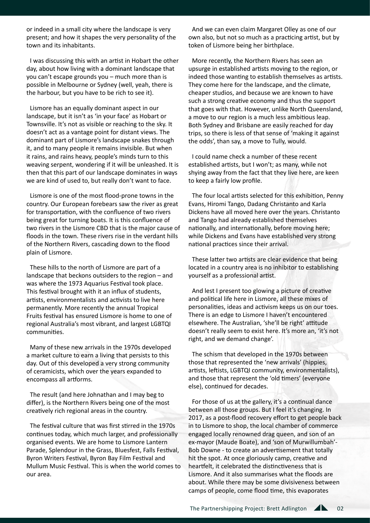or indeed in a small city where the landscape is very present; and how it shapes the very personality of the town and its inhabitants.

I was discussing this with an artist in Hobart the other day, about how living with a dominant landscape that you can't escape grounds you – much more than is possible in Melbourne or Sydney (well, yeah, there is the harbour, but you have to be rich to see it).

Lismore has an equally dominant aspect in our landscape, but it isn't as 'in your face' as Hobart or Townsville. It's not as visible or reaching to the sky. It doesn't act as a vantage point for distant views. The dominant part of Lismore's landscape snakes through it, and to many people it remains invisible. But when it rains, and rains heavy, people's minds turn to this weaving serpent, wondering if it will be unleashed. It is then that this part of our landscape dominates in ways we are kind of used to, but really don't want to face.

Lismore is one of the most flood-prone towns in the country. Our European forebears saw the river as great for transportation, with the confluence of two rivers being great for turning boats. It is this confluence of two rivers in the Lismore CBD that is the major cause of floods in the town. These rivers rise in the verdant hills of the Northern Rivers, cascading down to the flood plain of Lismore.

These hills to the north of Lismore are part of a landscape that beckons outsiders to the region – and was where the 1973 Aquarius Festival took place. This festival brought with it an influx of students, artists, environmentalists and activists to live here permanently. More recently the annual Tropical Fruits festival has ensured Lismore is home to one of regional Australia's most vibrant, and largest LGBTQI communities.

Many of these new arrivals in the 1970s developed a market culture to earn a living that persists to this day. Out of this developed a very strong community of ceramicists, which over the years expanded to encompass all artforms.

The result (and here Johnathan and I may beg to differ), is the Northern Rivers being one of the most creatively rich regional areas in the country.

The festival culture that was first stirred in the 1970s continues today, which much larger, and professionally organised events. We are home to Lismore Lantern Parade, Splendour in the Grass, Bluesfest, Falls Festival, Byron Writers Festival, Byron Bay Film Festival and Mullum Music Festival. This is when the world comes to our area.

And we can even claim Margaret Olley as one of our own also, but not so much as a practicing artist, but by token of Lismore being her birthplace.

More recently, the Northern Rivers has seen an upsurge in established artists moving to the region, or indeed those wanting to establish themselves as artists. They come here for the landscape, and the climate, cheaper studios, and because we are known to have such a strong creative economy and thus the support that goes with that. However, unlike North Queensland, a move to our region is a much less ambitious leap. Both Sydney and Brisbane are easily reached for day trips, so there is less of that sense of 'making it against the odds', than say, a move to Tully, would.

I could name check a number of these recent established artists, but I won't; as many, while not shying away from the fact that they live here, are keen to keep a fairly low profile.

The four local artists selected for this exhibition, Penny Evans, Hiromi Tango, Dadang Christanto and Karla Dickens have all moved here over the years. Christanto and Tango had already established themselves nationally, and internationally, before moving here; while Dickens and Evans have established very strong national practices since their arrival.

These latter two artists are clear evidence that being located in a country area is no inhibitor to establishing yourself as a professional artist.

And lest I present too glowing a picture of creative and political life here in Lismore, all these mixes of personalities, ideas and activism keeps us on our toes. There is an edge to Lismore I haven't encountered elsewhere. The Australian, 'she'll be right' attitude doesn't really seem to exist here. It's more an, 'it's not right, and we demand change'.

The schism that developed in the 1970s between those that represented the 'new arrivals' (hippies, artists, leftists, LGBTQI community, environmentalists), and those that represent the 'old timers' (everyone else), continued for decades.

For those of us at the gallery, it's a continual dance between all those groups. But I feel it's changing. In 2017, as a post-flood recovery effort to get people back in to Lismore to shop, the local chamber of commerce engaged locally renowned drag queen, and son of an ex-mayor (Maude Boate), and 'son of Murwillumbah'- Bob Downe - to create an advertisement that totally hit the spot. At once gloriously camp, creative and heartfelt, it celebrated the distinctiveness that is Lismore. And it also summarises what the floods are about. While there may be some divisiveness between camps of people, come flood time, this evaporates

02